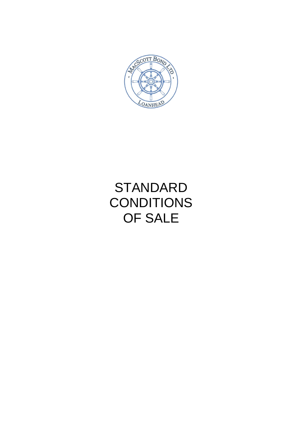

# STANDARD **CONDITIONS** OF SALE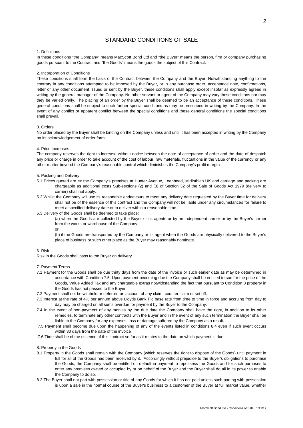## STANDARD CONDITIONS OF SALE

#### 1. Definitions

In these conditions "the Company" means MacScott Bond Ltd and "the Buyer" means the person, firm or company purchasing goods pursuant to the Contract and "the Goods" means the goods the subject of this Contract.

## 2. Incorporation of Conditions

These conditions shall form the basis of the Contract between the Company and the Buyer. Notwithstanding anything to the contrary in any conditions attempted to be Imposed by the Buyer, or in any purchase order, acceptance note, confirmations, letter or any other document issued or sent by the Buyer, these conditions shall apply except insofar as expressly agreed in writing by the general manager of the Company. No other servant or agent of the Company may vary these conditions nor may they be varied orally. The placing of an order by the Buyer shall be deemed to be an acceptance of these conditions. These general conditions shall be subject to such further special conditions as may be prescribed in writing by the Company. In the event of any conflict or apparent conflict between the special conditions and these general conditions the special conditions shall prevail.

#### 3. Orders

No order placed by the Buyer shall be binding on the Company unless and until it has been accepted in writing by the Company on its acknowledgement of order form.

## 4. Price Increases

The company reserves the right to increase without notice between the date of acceptance of order and the date of despatch any price or charge in order to take account of the cost of labour, raw materials, fluctuations in the value of the currency or any other matter beyond the Company's reasonable control which diminishes the Company's profit margin

## 5. Packing and Delivery

- 5.1 Prices quoted are ex the Company's premises at Hunter Avenue, Loanhead, Midlothian UK and carriage and packing are chargeable as additional costs Sub-sections (2) and (3) of Section 32 of the Sale of Goods Act 1979 (delivery to carrier) shall not apply.
- 5.2 Whilst the Company will use its reasonable endeavours to meet any delivery date requested by the Buyer time for delivery shall not be of the essence of this contract and the Company will not be liable under any circumstances for failure to meet a specified delivery date or to deliver within a reasonable time.
- 5.3 Delivery of the Goods shall be deemed to take place:

(a) when the Goods are collected by the Buyer or its agents or by an independent carrier or by the Buyer's carrier from the works or warehouse of the Company;

or

(b) if the Goods are transported by the Company or its agent when the Goods are physically delivered to the Buyer's place of business or such other place as the Buyer may reasonably nominate.

#### 6. Risk

Risk in the Goods shall pass to the Buyer on delivery.

## 7. Payment Terms

- 7.1 Payment for the Goods shall be due thirty days from the date of the invoice or such earlier date as may be determined in accordance with Condition 7.5. Upon payment becoming due the Company shall be entitled to sue for the price of the Goods, Value Added Tax and any chargeable extras notwithstanding the fact that pursuant to Condition 8 property in the Goods has not passed to the Buyer.
- 7.2 Payment shall not be withheld or deferred on account of any claim, counter claim or set off.
- 7.3 Interest at the rate of 4% per annum above Lloyds Bank Plc base rate from time to time in force and accruing from day to day may be charged on all sums overdue for payment by the Buyer to the Company.
- 7.4 In the event of non-payment of any monies by the due date the Company shall have the right, in addition to its other remedies, to terminate any other contracts with the Buyer and in the event of any such termination the Buyer shall be liable to the Company for any expenses, loss or damage suffered by the Company as a result.
- 7.5 Payment shall become due upon the happening of any of the events listed in conditions 8.4 even if such event occurs within 30 days from the date of the invoice
- 7.6 Time shall be of the essence of this contract so far as it relates to the date on which payment is due.
- 8. Property in the Goods
- 8.1 Property in the Goods shall remain with the Company (which reserves the right to dispose of the Goods) until payment in full for all of the Goods has been received by it. Accordingly without prejudice to the Buyer's obligations to purchase the Goods, the Company shall be entitled on default in payment to repossess the Goods and for such purposes to enter any premises owned or occupied by or on behalf of the Buyer and the Buyer shall do all in its power to enable the Company to do so.
- 8.2 The Buyer shall not part with possession or title of any Goods for which it has not paid unless such parting with possession is upon a sale in the normal course of the Buyer's business to a customer of the Buyer at full market value, whether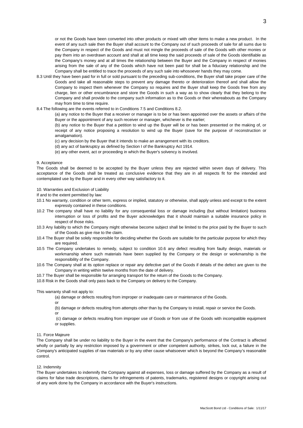or not the Goods have been converted into other products or mixed with other items to make a new product. In the event of any such sale then the Buyer shall account to the Company out of such proceeds of sale for all sums due to the Company in respect of the Goods and must not mingle the proceeds of sale of the Goods with other monies or pay them into an overdrawn account and shall at all time keep the said proceeds of sale of the Goods identifiable as the Company's money and at all times the relationship between the Buyer and the Company in respect of monies arising from the sale of any of the Goods which have not been paid for shall be a fiduciary relationship and the Company shall be entitled to trace the proceeds of any such sale into whosoever hands they may come.

- 8.3 Until they have been paid for in full or sold pursuant to the preceding sub-conditions, the Buyer shall take proper care of the Goods and take all reasonable steps to prevent any damage thereto or deterioration thereof and shall allow the Company to inspect them whenever the Company so requires and the Buyer shall keep the Goods free from any charge, lien or other encumbrance and store the Goods in such a way as to show clearly that they belong to the Company and shall provide to the company such information as to the Goods or their whereabouts as the Company may from time to time require.
- 8.4 The following are the events referred to in Conditions 7.5 and Conditions 8.2.

(a) any notice to the Buyer that a receiver or manager is to be or has been appointed over the assets or affairs of the Buyer or the appointment of any such receiver or manager, whichever is the earlier;

(b) any notice to the Buyer that a petition to wind up the Buyer will be or has been presented or the making of, or receipt of any notice proposing a resolution to wind up the Buyer (save for the purpose of reconstruction or amalgamation).

- (c) any decision by the Buyer that it intends to make an arrangement with its creditors.
- (d) any act of bankruptcy as defined by Section I of the Bankruptcy Act 1914.
- (e) any other event, act or proceeding in which the Buyer's solvency is involved.

#### 9. Acceptance

The Goods shall be deemed to be accepted by the Buyer unless they are rejected within seven days of delivery. This acceptance of the Goods shall be treated as conclusive evidence that they are in all respects fit for the intended and contemplated use by the Buyer and in every other way satisfactory to it.

10. Warranties and Exclusion of Liability

If and to the extent permitted by law:

- 10.1 No warranty, condition or other term, express or implied, statutory or otherwise, shall apply unless and except to the extent expressly contained in these conditions.
- 10.2 The company shall have no liability for any consequential loss or damage including (but without limitation) business interruption or loss of profits and the Buyer acknowledges that it should maintain a suitable insurance policy in respect of those risks.
- 10.3 Any liability to which the Company might otherwise become subject shall be limited to the price paid by the Buyer to such of the Goods as give rise to the claim.
- 10.4 The Buyer shall be solely responsible for deciding whether the Goods are suitable for the particular purpose for which they are required.
- 10.5 The Company undertakes to remedy, subject to condition 10.6 any defect resulting from faulty design, materials or workmanship where such materials have been supplied by the Company or the design or workmanship is the responsibility of the Company.
- 10.6 The Company shall at its option replace or repair any defective part of the Goods if details of the defect are given to the Company in writing within twelve months from the date of delivery.
- 10.7 The Buyer shall be responsible for arranging transport for the return of the Goods to the Company.
- 10.8 Risk in the Goods shall only pass back to the Company on delivery to the Company.

This warranty shall not apply to:

- (a) damage or defects resulting from improper or inadequate care or maintenance of the Goods.
- or
- (b) damage or defects resulting from attempts other than by the Company to install, repair or service the Goods. or
- (c) damage or defects resulting from improper use of Goods or from use of the Goods with incompatible equipment or supplies.

## 11. Force Majeure

The Company shall be under no liability to the Buyer in the event that the Company's performance of the Contract is affected wholly or partially by any restriction imposed by a government or other competent authority, strikes, lock out, a failure in the Company's anticipated supplies of raw materials or by any other cause whatsoever which is beyond the Company's reasonable control.

#### 12. Indemnity

The Buyer undertakes to indemnify the Company against all expenses, loss or damage suffered by the Company as a result of claims for false trade descriptions, claims for infringements of patents, trademarks, registered designs or copyright arising out of any work done by the Company in accordance with the Buyer's instructions.